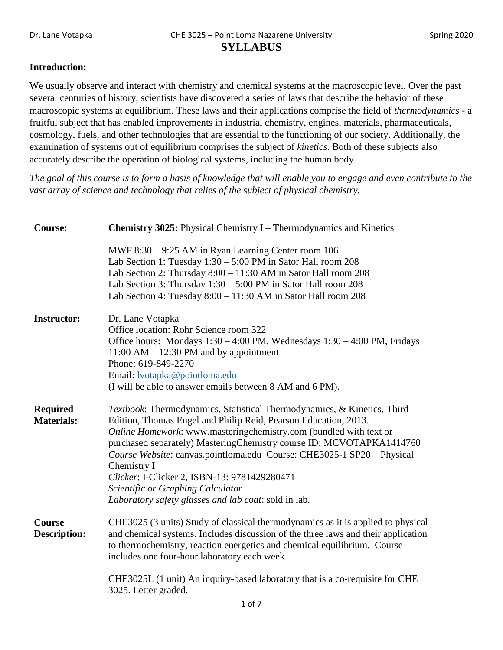## **Introduction:**

We usually observe and interact with chemistry and chemical systems at the macroscopic level. Over the past several centuries of history, scientists have discovered a series of laws that describe the behavior of these macroscopic systems at equilibrium. These laws and their applications comprise the field of *thermodynamics* - a fruitful subject that has enabled improvements in industrial chemistry, engines, materials, pharmaceuticals, cosmology, fuels, and other technologies that are essential to the functioning of our society. Additionally, the examination of systems out of equilibrium comprises the subject of *kinetics*. Both of these subjects also accurately describe the operation of biological systems, including the human body.

*The goal of this course is to form a basis of knowledge that will enable you to engage and even contribute to the vast array of science and technology that relies of the subject of physical chemistry.*

| Course:                              | <b>Chemistry 3025:</b> Physical Chemistry I – Thermodynamics and Kinetics                                                                                                                                                                                                                                                                                                                                                                                                                                                      |  |
|--------------------------------------|--------------------------------------------------------------------------------------------------------------------------------------------------------------------------------------------------------------------------------------------------------------------------------------------------------------------------------------------------------------------------------------------------------------------------------------------------------------------------------------------------------------------------------|--|
|                                      | MWF 8:30 - 9:25 AM in Ryan Learning Center room 106<br>Lab Section 1: Tuesday $1:30 - 5:00$ PM in Sator Hall room 208<br>Lab Section 2: Thursday 8:00 - 11:30 AM in Sator Hall room 208<br>Lab Section 3: Thursday 1:30 - 5:00 PM in Sator Hall room 208<br>Lab Section 4: Tuesday 8:00 - 11:30 AM in Sator Hall room 208                                                                                                                                                                                                      |  |
| <b>Instructor:</b>                   | Dr. Lane Votapka<br>Office location: Rohr Science room 322<br>Office hours: Mondays 1:30 - 4:00 PM, Wednesdays 1:30 - 4:00 PM, Fridays<br>$11:00$ AM $- 12:30$ PM and by appointment<br>Phone: 619-849-2270<br>Email: <b>lvotapka@pointloma.edu</b><br>(I will be able to answer emails between 8 AM and 6 PM).                                                                                                                                                                                                                |  |
| <b>Required</b><br><b>Materials:</b> | Textbook: Thermodynamics, Statistical Thermodynamics, & Kinetics, Third<br>Edition, Thomas Engel and Philip Reid, Pearson Education, 2013.<br>Online Homework: www.masteringchemistry.com (bundled with text or<br>purchased separately) Mastering Chemistry course ID: MCVOTAPKA1414760<br>Course Website: canvas.pointloma.edu Course: CHE3025-1 SP20 - Physical<br>Chemistry I<br>Clicker: I-Clicker 2, ISBN-13: 9781429280471<br>Scientific or Graphing Calculator<br>Laboratory safety glasses and lab coat: sold in lab. |  |
| <b>Course</b><br><b>Description:</b> | CHE3025 (3 units) Study of classical thermodynamics as it is applied to physical<br>and chemical systems. Includes discussion of the three laws and their application<br>to thermochemistry, reaction energetics and chemical equilibrium. Course<br>includes one four-hour laboratory each week.                                                                                                                                                                                                                              |  |
|                                      | CHE3025L (1 unit) An inquiry-based laboratory that is a co-requisite for CHE<br>3025. Letter graded.                                                                                                                                                                                                                                                                                                                                                                                                                           |  |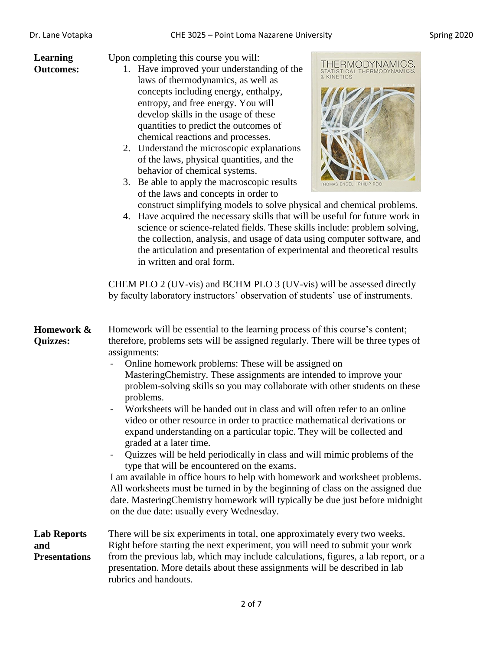| Dr. Lane Votapka                                  | CHE 3025 - Point Loma Nazarene University                                                                                                                                                                                                                                                                                                                                                                                                                                                                                                                                                                                                                                                                                                                                                                                                                                                                                                                                                                                                                                                                                                                                                                    |  |
|---------------------------------------------------|--------------------------------------------------------------------------------------------------------------------------------------------------------------------------------------------------------------------------------------------------------------------------------------------------------------------------------------------------------------------------------------------------------------------------------------------------------------------------------------------------------------------------------------------------------------------------------------------------------------------------------------------------------------------------------------------------------------------------------------------------------------------------------------------------------------------------------------------------------------------------------------------------------------------------------------------------------------------------------------------------------------------------------------------------------------------------------------------------------------------------------------------------------------------------------------------------------------|--|
| Learning<br><b>Outcomes:</b>                      | Upon completing this course you will:<br>THERMODYNAMICS,<br>1. Have improved your understanding of the<br>STATISTICAL THERMODYNAMICS.<br>laws of thermodynamics, as well as<br>concepts including energy, enthalpy,<br>entropy, and free energy. You will<br>develop skills in the usage of these<br>quantities to predict the outcomes of<br>chemical reactions and processes.<br>2. Understand the microscopic explanations<br>of the laws, physical quantities, and the<br>behavior of chemical systems.<br>Be able to apply the macroscopic results<br>3.<br><b>REID</b><br>of the laws and concepts in order to<br>construct simplifying models to solve physical and chemical problems.<br>4. Have acquired the necessary skills that will be useful for future work in<br>science or science-related fields. These skills include: problem solving,<br>the collection, analysis, and usage of data using computer software, and<br>the articulation and presentation of experimental and theoretical results<br>in written and oral form.<br>CHEM PLO 2 (UV-vis) and BCHM PLO 3 (UV-vis) will be assessed directly<br>by faculty laboratory instructors' observation of students' use of instruments. |  |
| Homework &<br><b>Quizzes:</b>                     | Homework will be essential to the learning process of this course's content;<br>therefore, problems sets will be assigned regularly. There will be three types of<br>assignments:<br>Online homework problems: These will be assigned on<br>MasteringChemistry. These assignments are intended to improve your<br>problem-solving skills so you may collaborate with other students on these<br>problems.<br>Worksheets will be handed out in class and will often refer to an online<br>video or other resource in order to practice mathematical derivations or<br>expand understanding on a particular topic. They will be collected and<br>graded at a later time.<br>Quizzes will be held periodically in class and will mimic problems of the<br>type that will be encountered on the exams.<br>I am available in office hours to help with homework and worksheet problems.<br>All worksheets must be turned in by the beginning of class on the assigned due<br>date. Mastering Chemistry homework will typically be due just before midnight<br>on the due date: usually every Wednesday.                                                                                                           |  |
| <b>Lab Reports</b><br>and<br><b>Presentations</b> | There will be six experiments in total, one approximately every two weeks.<br>Right before starting the next experiment, you will need to submit your work<br>from the previous lab, which may include calculations, figures, a lab report, or a                                                                                                                                                                                                                                                                                                                                                                                                                                                                                                                                                                                                                                                                                                                                                                                                                                                                                                                                                             |  |

rubrics and handouts.

presentation. More details about these assignments will be described in lab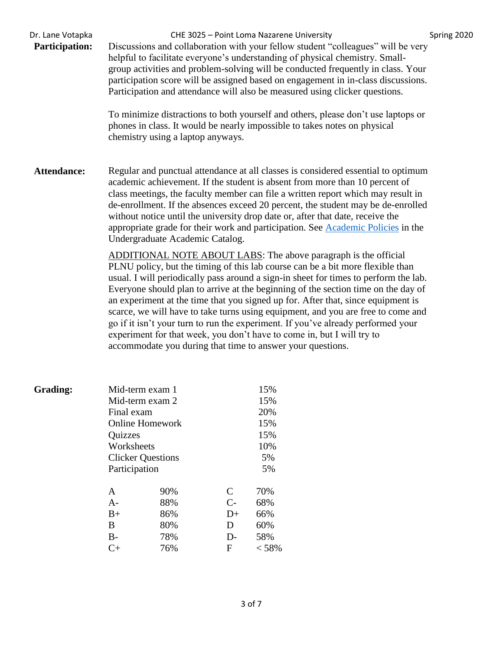| Dr. Lane Votapka<br><b>Participation:</b> | CHE 3025 - Point Loma Nazarene University<br>Discussions and collaboration with your fellow student "colleagues" will be very<br>helpful to facilitate everyone's understanding of physical chemistry. Small-<br>group activities and problem-solving will be conducted frequently in class. Your<br>participation score will be assigned based on engagement in in-class discussions.<br>Participation and attendance will also be measured using clicker questions.<br>To minimize distractions to both yourself and others, please don't use laptops or<br>phones in class. It would be nearly impossible to takes notes on physical<br>chemistry using a laptop anyways.                                                       | Spring 2020 |
|-------------------------------------------|------------------------------------------------------------------------------------------------------------------------------------------------------------------------------------------------------------------------------------------------------------------------------------------------------------------------------------------------------------------------------------------------------------------------------------------------------------------------------------------------------------------------------------------------------------------------------------------------------------------------------------------------------------------------------------------------------------------------------------|-------------|
| <b>Attendance:</b>                        | Regular and punctual attendance at all classes is considered essential to optimum<br>academic achievement. If the student is absent from more than 10 percent of<br>class meetings, the faculty member can file a written report which may result in<br>de-enrollment. If the absences exceed 20 percent, the student may be de-enrolled<br>without notice until the university drop date or, after that date, receive the<br>appropriate grade for their work and participation. See <b>Academic Policies</b> in the<br>Undergraduate Academic Catalog.                                                                                                                                                                           |             |
|                                           | ADDITIONAL NOTE ABOUT LABS: The above paragraph is the official<br>PLNU policy, but the timing of this lab course can be a bit more flexible than<br>usual. I will periodically pass around a sign-in sheet for times to perform the lab.<br>Everyone should plan to arrive at the beginning of the section time on the day of<br>an experiment at the time that you signed up for. After that, since equipment is<br>scarce, we will have to take turns using equipment, and you are free to come and<br>go if it isn't your turn to run the experiment. If you've already performed your<br>experiment for that week, you don't have to come in, but I will try to<br>accommodate you during that time to answer your questions. |             |

| <b>Grading:</b> |                                        | Mid-term exam 1        |      | 15%   |
|-----------------|----------------------------------------|------------------------|------|-------|
|                 |                                        | Mid-term exam 2        |      | 15%   |
|                 | Final exam                             |                        |      | 20%   |
|                 |                                        | <b>Online Homework</b> |      | 15%   |
|                 | <b>Quizzes</b>                         |                        |      | 15%   |
|                 | Worksheets<br><b>Clicker Questions</b> |                        |      | 10%   |
|                 |                                        |                        |      | 5%    |
|                 | Participation                          |                        |      | 5%    |
|                 | A                                      | 90%                    | C    | 70%   |
|                 | $A-$                                   | 88%                    | $C-$ | 68%   |
|                 | $B+$                                   | 86%                    | $D+$ | 66%   |
|                 | B                                      | 80%                    | D    | 60%   |
|                 | $B-$                                   | 78%                    | $D-$ | 58%   |
|                 | C+                                     | 76%                    | F    | < 58% |
|                 |                                        |                        |      |       |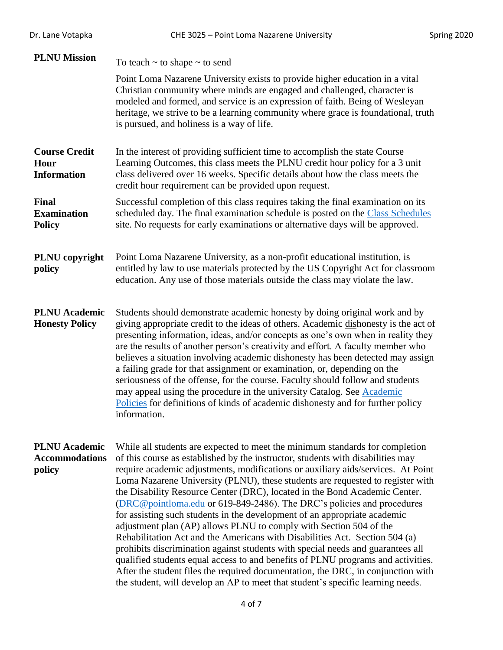| Dr. Lane Votapka                                        | CHE 3025 - Point Loma Nazarene University                                                                                                                                                                                                                                                                                                                                                                                                                                                                                                                                                                                                                                                                                                                                                                                                                                                                                                                                                                                                                                     | Spring 2020 |
|---------------------------------------------------------|-------------------------------------------------------------------------------------------------------------------------------------------------------------------------------------------------------------------------------------------------------------------------------------------------------------------------------------------------------------------------------------------------------------------------------------------------------------------------------------------------------------------------------------------------------------------------------------------------------------------------------------------------------------------------------------------------------------------------------------------------------------------------------------------------------------------------------------------------------------------------------------------------------------------------------------------------------------------------------------------------------------------------------------------------------------------------------|-------------|
| <b>PLNU Mission</b>                                     | To teach $\sim$ to shape $\sim$ to send                                                                                                                                                                                                                                                                                                                                                                                                                                                                                                                                                                                                                                                                                                                                                                                                                                                                                                                                                                                                                                       |             |
|                                                         | Point Loma Nazarene University exists to provide higher education in a vital<br>Christian community where minds are engaged and challenged, character is<br>modeled and formed, and service is an expression of faith. Being of Wesleyan<br>heritage, we strive to be a learning community where grace is foundational, truth<br>is pursued, and holiness is a way of life.                                                                                                                                                                                                                                                                                                                                                                                                                                                                                                                                                                                                                                                                                                   |             |
| <b>Course Credit</b><br>Hour<br><b>Information</b>      | In the interest of providing sufficient time to accomplish the state Course<br>Learning Outcomes, this class meets the PLNU credit hour policy for a 3 unit<br>class delivered over 16 weeks. Specific details about how the class meets the<br>credit hour requirement can be provided upon request.                                                                                                                                                                                                                                                                                                                                                                                                                                                                                                                                                                                                                                                                                                                                                                         |             |
| Final<br><b>Examination</b><br><b>Policy</b>            | Successful completion of this class requires taking the final examination on its<br>scheduled day. The final examination schedule is posted on the Class Schedules<br>site. No requests for early examinations or alternative days will be approved.                                                                                                                                                                                                                                                                                                                                                                                                                                                                                                                                                                                                                                                                                                                                                                                                                          |             |
| PLNU copyright<br>policy                                | Point Loma Nazarene University, as a non-profit educational institution, is<br>entitled by law to use materials protected by the US Copyright Act for classroom<br>education. Any use of those materials outside the class may violate the law.                                                                                                                                                                                                                                                                                                                                                                                                                                                                                                                                                                                                                                                                                                                                                                                                                               |             |
| <b>PLNU</b> Academic<br><b>Honesty Policy</b>           | Students should demonstrate academic honesty by doing original work and by<br>giving appropriate credit to the ideas of others. Academic dishonesty is the act of<br>presenting information, ideas, and/or concepts as one's own when in reality they<br>are the results of another person's creativity and effort. A faculty member who<br>believes a situation involving academic dishonesty has been detected may assign<br>a failing grade for that assignment or examination, or, depending on the<br>seriousness of the offense, for the course. Faculty should follow and students<br>may appeal using the procedure in the university Catalog. See Academic<br>Policies for definitions of kinds of academic dishonesty and for further policy<br>information.                                                                                                                                                                                                                                                                                                        |             |
| <b>PLNU</b> Academic<br><b>Accommodations</b><br>policy | While all students are expected to meet the minimum standards for completion<br>of this course as established by the instructor, students with disabilities may<br>require academic adjustments, modifications or auxiliary aids/services. At Point<br>Loma Nazarene University (PLNU), these students are requested to register with<br>the Disability Resource Center (DRC), located in the Bond Academic Center.<br>(DRC@pointloma.edu or 619-849-2486). The DRC's policies and procedures<br>for assisting such students in the development of an appropriate academic<br>adjustment plan (AP) allows PLNU to comply with Section 504 of the<br>Rehabilitation Act and the Americans with Disabilities Act. Section 504 (a)<br>prohibits discrimination against students with special needs and guarantees all<br>qualified students equal access to and benefits of PLNU programs and activities.<br>After the student files the required documentation, the DRC, in conjunction with<br>the student, will develop an AP to meet that student's specific learning needs. |             |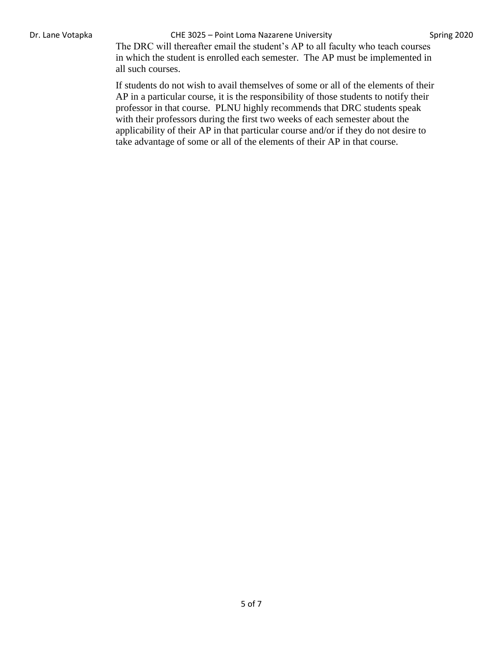## Dr. Lane Votapka **CHE 3025 – Point Loma Nazarene University** Spring 2020

The DRC will thereafter email the student's AP to all faculty who teach courses in which the student is enrolled each semester. The AP must be implemented in all such courses.

If students do not wish to avail themselves of some or all of the elements of their AP in a particular course, it is the responsibility of those students to notify their professor in that course. PLNU highly recommends that DRC students speak with their professors during the first two weeks of each semester about the applicability of their AP in that particular course and/or if they do not desire to take advantage of some or all of the elements of their AP in that course.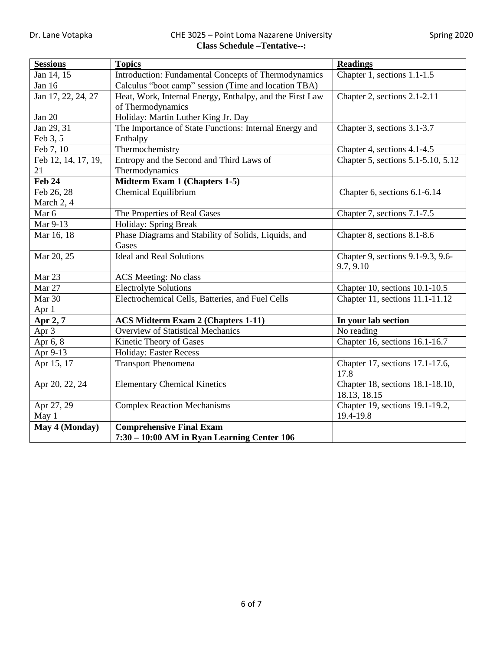## Dr. Lane Votapka **CHE 3025 – Point Loma Nazarene University** Spring 2020 **Class Schedule –Tentative--:**

| <b>Sessions</b>     | <b>Topics</b>                                                                       | <b>Readings</b>                    |  |
|---------------------|-------------------------------------------------------------------------------------|------------------------------------|--|
| Jan 14, 15          | Chapter 1, sections 1.1-1.5<br>Introduction: Fundamental Concepts of Thermodynamics |                                    |  |
| Jan 16              | Calculus "boot camp" session (Time and location TBA)                                |                                    |  |
| Jan 17, 22, 24, 27  | Heat, Work, Internal Energy, Enthalpy, and the First Law                            | Chapter 2, sections 2.1-2.11       |  |
|                     | of Thermodynamics                                                                   |                                    |  |
| Jan 20              | Holiday: Martin Luther King Jr. Day                                                 |                                    |  |
| Jan 29, 31          | The Importance of State Functions: Internal Energy and                              | Chapter 3, sections 3.1-3.7        |  |
| Feb 3, 5            | Enthalpy                                                                            |                                    |  |
| Feb 7, 10           | Thermochemistry                                                                     | Chapter 4, sections 4.1-4.5        |  |
| Feb 12, 14, 17, 19, | Entropy and the Second and Third Laws of                                            | Chapter 5, sections 5.1-5.10, 5.12 |  |
| 21                  | Thermodynamics                                                                      |                                    |  |
| <b>Feb 24</b>       | Midterm Exam 1 (Chapters 1-5)                                                       |                                    |  |
| Feb 26, 28          | Chemical Equilibrium                                                                | Chapter 6, sections 6.1-6.14       |  |
| March 2, 4          |                                                                                     |                                    |  |
| Mar 6               | The Properties of Real Gases                                                        | Chapter 7, sections 7.1-7.5        |  |
| Mar 9-13            | Holiday: Spring Break                                                               |                                    |  |
| Mar 16, 18          | Phase Diagrams and Stability of Solids, Liquids, and<br>Chapter 8, sections 8.1-8.6 |                                    |  |
|                     | Gases                                                                               |                                    |  |
| Mar 20, 25          | <b>Ideal and Real Solutions</b>                                                     | Chapter 9, sections 9.1-9.3, 9.6-  |  |
|                     |                                                                                     | 9.7, 9.10                          |  |
| Mar 23              | ACS Meeting: No class                                                               |                                    |  |
| Mar 27              | <b>Electrolyte Solutions</b>                                                        | Chapter 10, sections 10.1-10.5     |  |
| Mar 30              | Electrochemical Cells, Batteries, and Fuel Cells<br>Chapter 11, sections 11.1-11.12 |                                    |  |
| Apr 1               |                                                                                     |                                    |  |
| Apr 2, 7            | <b>ACS Midterm Exam 2 (Chapters 1-11)</b>                                           | In your lab section                |  |
| Apr 3               | <b>Overview of Statistical Mechanics</b>                                            | No reading                         |  |
| Apr 6, 8            | Kinetic Theory of Gases                                                             | Chapter 16, sections 16.1-16.7     |  |
| Apr 9-13            | <b>Holiday: Easter Recess</b>                                                       |                                    |  |
| Apr 15, 17          | Chapter 17, sections 17.1-17.6,<br><b>Transport Phenomena</b>                       |                                    |  |
|                     |                                                                                     | 17.8                               |  |
| Apr 20, 22, 24      | <b>Elementary Chemical Kinetics</b><br>Chapter 18, sections 18.1-18.10,             |                                    |  |
|                     |                                                                                     | 18.13, 18.15                       |  |
| Apr 27, 29          | <b>Complex Reaction Mechanisms</b><br>Chapter 19, sections 19.1-19.2,               |                                    |  |
| May 1               |                                                                                     | 19.4-19.8                          |  |
| May 4 (Monday)      | <b>Comprehensive Final Exam</b>                                                     |                                    |  |
|                     | 7:30 – 10:00 AM in Ryan Learning Center 106                                         |                                    |  |